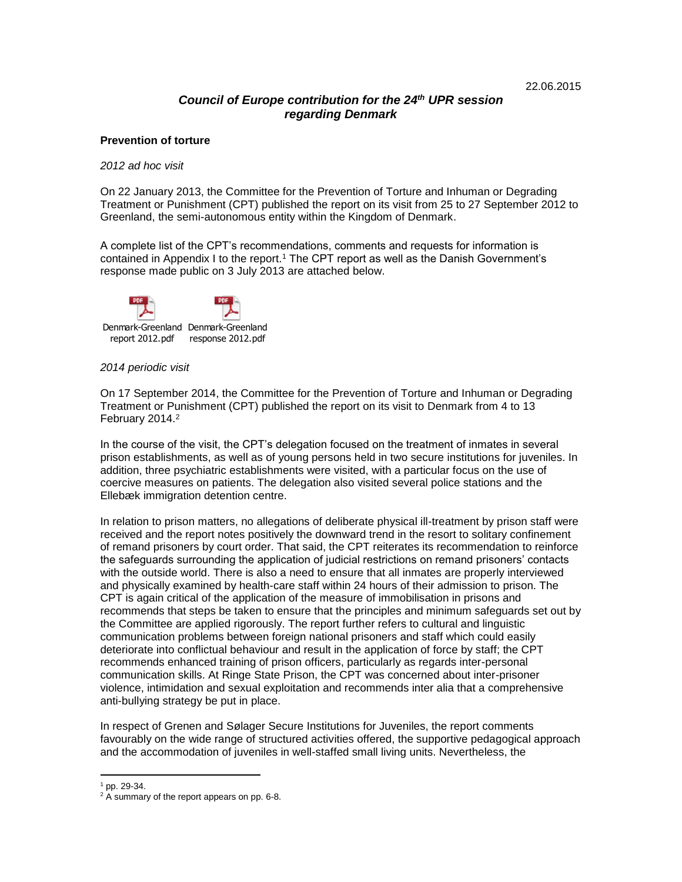# *Council of Europe contribution for the 24 th UPR session regarding Denmark*

### **Prevention of torture**

#### *2012 ad hoc visit*

On 22 January 2013, the Committee for the Prevention of Torture and Inhuman or Degrading Treatment or Punishment (CPT) published the report on its visit from 25 to 27 September 2012 to Greenland, the semi-autonomous entity within the Kingdom of Denmark.

A complete list of the CPT's recommendations, comments and requests for information is contained in Appendix I to the report.<sup>1</sup> The CPT report as well as the Danish Government's response made public on 3 July 2013 are attached below.



#### *2014 periodic visit*

On 17 September 2014, the Committee for the Prevention of Torture and Inhuman or Degrading Treatment or Punishment (CPT) published the report on its visit to Denmark from 4 to 13 February 2014. 2

In the course of the visit, the CPT's delegation focused on the treatment of inmates in several prison establishments, as well as of young persons held in two secure institutions for juveniles. In addition, three psychiatric establishments were visited, with a particular focus on the use of coercive measures on patients. The delegation also visited several police stations and the Ellebæk immigration detention centre.

In relation to prison matters, no allegations of deliberate physical ill-treatment by prison staff were received and the report notes positively the downward trend in the resort to solitary confinement of remand prisoners by court order. That said, the CPT reiterates its recommendation to reinforce the safeguards surrounding the application of judicial restrictions on remand prisoners' contacts with the outside world. There is also a need to ensure that all inmates are properly interviewed and physically examined by health-care staff within 24 hours of their admission to prison. The CPT is again critical of the application of the measure of immobilisation in prisons and recommends that steps be taken to ensure that the principles and minimum safeguards set out by the Committee are applied rigorously. The report further refers to cultural and linguistic communication problems between foreign national prisoners and staff which could easily deteriorate into conflictual behaviour and result in the application of force by staff; the CPT recommends enhanced training of prison officers, particularly as regards inter-personal communication skills. At Ringe State Prison, the CPT was concerned about inter-prisoner violence, intimidation and sexual exploitation and recommends inter alia that a comprehensive anti-bullying strategy be put in place.

In respect of Grenen and Sølager Secure Institutions for Juveniles, the report comments favourably on the wide range of structured activities offered, the supportive pedagogical approach and the accommodation of juveniles in well-staffed small living units. Nevertheless, the

 $1$  pp. 29-34.

<sup>&</sup>lt;sup>2</sup> A summary of the report appears on pp. 6-8.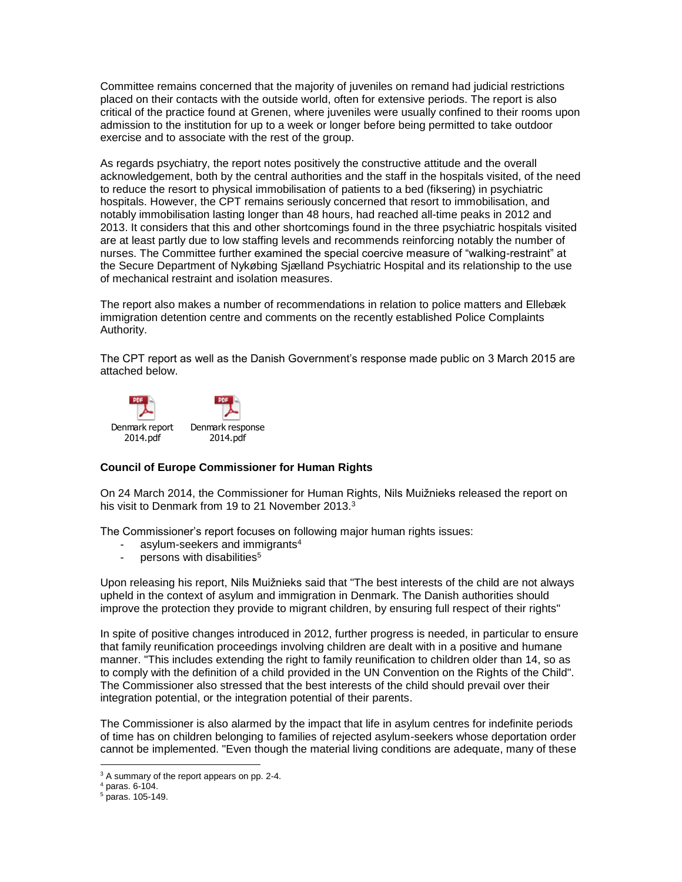Committee remains concerned that the majority of juveniles on remand had judicial restrictions placed on their contacts with the outside world, often for extensive periods. The report is also critical of the practice found at Grenen, where juveniles were usually confined to their rooms upon admission to the institution for up to a week or longer before being permitted to take outdoor exercise and to associate with the rest of the group.

As regards psychiatry, the report notes positively the constructive attitude and the overall acknowledgement, both by the central authorities and the staff in the hospitals visited, of the need to reduce the resort to physical immobilisation of patients to a bed (fiksering) in psychiatric hospitals. However, the CPT remains seriously concerned that resort to immobilisation, and notably immobilisation lasting longer than 48 hours, had reached all-time peaks in 2012 and 2013. It considers that this and other shortcomings found in the three psychiatric hospitals visited are at least partly due to low staffing levels and recommends reinforcing notably the number of nurses. The Committee further examined the special coercive measure of "walking-restraint" at the Secure Department of Nykøbing Sjælland Psychiatric Hospital and its relationship to the use of mechanical restraint and isolation measures.

The report also makes a number of recommendations in relation to police matters and Ellebæk immigration detention centre and comments on the recently established Police Complaints Authority.

The CPT report as well as the Danish Government's response made public on 3 March 2015 are attached below.



# **Council of Europe Commissioner for Human Rights**

On 24 March 2014, the Commissioner for Human Rights, Nils Muižnieks released the report on his visit to Denmark from 19 to 21 November 2013.<sup>3</sup>

The Commissioner's report focuses on following major human rights issues:

- asylum-seekers and immigrants<sup>4</sup>
- persons with disabilities<sup>5</sup>

Upon releasing his report, Nils Muižnieks said that "The best interests of the child are not always upheld in the context of asylum and immigration in Denmark. The Danish authorities should improve the protection they provide to migrant children, by ensuring full respect of their rights"

In spite of positive changes introduced in 2012, further progress is needed, in particular to ensure that family reunification proceedings involving children are dealt with in a positive and humane manner. "This includes extending the right to family reunification to children older than 14, so as to comply with the definition of a child provided in the UN Convention on the Rights of the Child". The Commissioner also stressed that the best interests of the child should prevail over their integration potential, or the integration potential of their parents.

The Commissioner is also alarmed by the impact that life in asylum centres for indefinite periods of time has on children belonging to families of rejected asylum-seekers whose deportation order cannot be implemented. "Even though the material living conditions are adequate, many of these

 $\overline{a}$ <sup>3</sup> A summary of the report appears on pp. 2-4.

<sup>4</sup> paras. 6-104.

<sup>5</sup> paras. 105-149.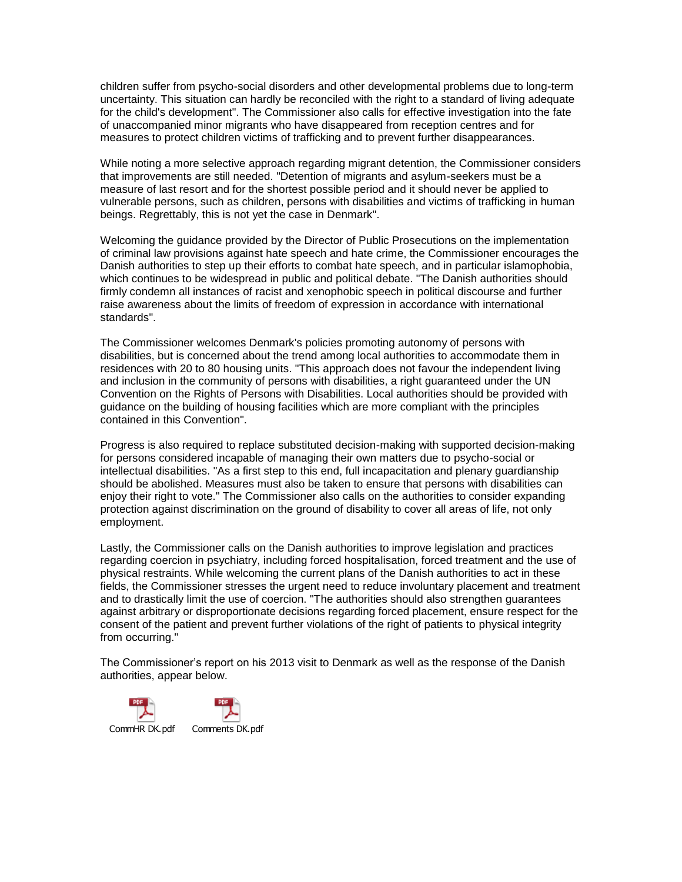children suffer from psycho-social disorders and other developmental problems due to long-term uncertainty. This situation can hardly be reconciled with the right to a standard of living adequate for the child's development". The Commissioner also calls for effective investigation into the fate of unaccompanied minor migrants who have disappeared from reception centres and for measures to protect children victims of trafficking and to prevent further disappearances.

While noting a more selective approach regarding migrant detention, the Commissioner considers that improvements are still needed. "Detention of migrants and asylum-seekers must be a measure of last resort and for the shortest possible period and it should never be applied to vulnerable persons, such as children, persons with disabilities and victims of trafficking in human beings. Regrettably, this is not yet the case in Denmark".

Welcoming the guidance provided by the Director of Public Prosecutions on the implementation of criminal law provisions against hate speech and hate crime, the Commissioner encourages the Danish authorities to step up their efforts to combat hate speech, and in particular islamophobia, which continues to be widespread in public and political debate. "The Danish authorities should firmly condemn all instances of racist and xenophobic speech in political discourse and further raise awareness about the limits of freedom of expression in accordance with international standards".

The Commissioner welcomes Denmark's policies promoting autonomy of persons with disabilities, but is concerned about the trend among local authorities to accommodate them in residences with 20 to 80 housing units. "This approach does not favour the independent living and inclusion in the community of persons with disabilities, a right guaranteed under the UN Convention on the Rights of Persons with Disabilities. Local authorities should be provided with guidance on the building of housing facilities which are more compliant with the principles contained in this Convention".

Progress is also required to replace substituted decision-making with supported decision-making for persons considered incapable of managing their own matters due to psycho-social or intellectual disabilities. "As a first step to this end, full incapacitation and plenary guardianship should be abolished. Measures must also be taken to ensure that persons with disabilities can enjoy their right to vote." The Commissioner also calls on the authorities to consider expanding protection against discrimination on the ground of disability to cover all areas of life, not only employment.

Lastly, the Commissioner calls on the Danish authorities to improve legislation and practices regarding coercion in psychiatry, including forced hospitalisation, forced treatment and the use of physical restraints. While welcoming the current plans of the Danish authorities to act in these fields, the Commissioner stresses the urgent need to reduce involuntary placement and treatment and to drastically limit the use of coercion. "The authorities should also strengthen guarantees against arbitrary or disproportionate decisions regarding forced placement, ensure respect for the consent of the patient and prevent further violations of the right of patients to physical integrity from occurring."

The Commissioner's report on his 2013 visit to Denmark as well as the response of the Danish authorities, appear below.

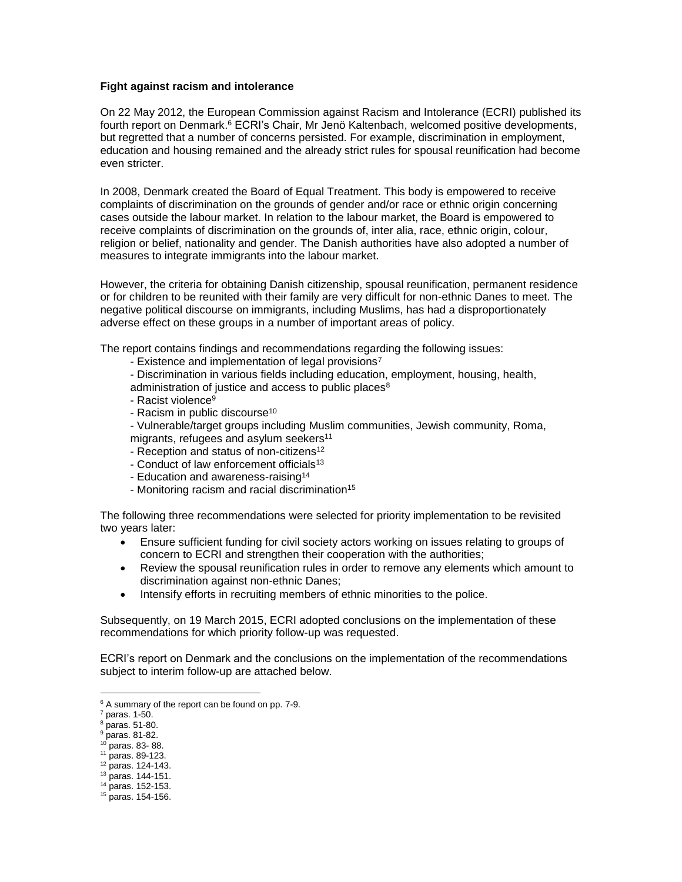# **Fight against racism and intolerance**

On 22 May 2012, the European Commission against Racism and Intolerance (ECRI) published its fourth report on Denmark. <sup>6</sup> ECRI's Chair, Mr Jenö Kaltenbach, welcomed positive developments, but regretted that a number of concerns persisted. For example, discrimination in employment, education and housing remained and the already strict rules for spousal reunification had become even stricter.

In 2008, Denmark created the Board of Equal Treatment. This body is empowered to receive complaints of discrimination on the grounds of gender and/or race or ethnic origin concerning cases outside the labour market. In relation to the labour market, the Board is empowered to receive complaints of discrimination on the grounds of, inter alia, race, ethnic origin, colour, religion or belief, nationality and gender. The Danish authorities have also adopted a number of measures to integrate immigrants into the labour market.

However, the criteria for obtaining Danish citizenship, spousal reunification, permanent residence or for children to be reunited with their family are very difficult for non-ethnic Danes to meet. The negative political discourse on immigrants, including Muslims, has had a disproportionately adverse effect on these groups in a number of important areas of policy.

The report contains findings and recommendations regarding the following issues:

- Existence and implementation of legal provisions<sup>7</sup>
- Discrimination in various fields including education, employment, housing, health,
- administration of justice and access to public places<sup>8</sup>
- Racist violence<sup>9</sup>
- Racism in public discourse<sup>10</sup>
- Vulnerable/target groups including Muslim communities, Jewish community, Roma,
- migrants, refugees and asylum seekers<sup>11</sup>
- Reception and status of non-citizens<sup>12</sup>
- Conduct of law enforcement officials<sup>13</sup>
- Education and awareness-raising<sup>14</sup>
- Monitoring racism and racial discrimination<sup>15</sup>

The following three recommendations were selected for priority implementation to be revisited two years later:

- Ensure sufficient funding for civil society actors working on issues relating to groups of concern to ECRI and strengthen their cooperation with the authorities;
- Review the spousal reunification rules in order to remove any elements which amount to discrimination against non-ethnic Danes;
- Intensify efforts in recruiting members of ethnic minorities to the police.

Subsequently, on 19 March 2015, ECRI adopted conclusions on the implementation of these recommendations for which priority follow-up was requested.

ECRI's report on Denmark and the conclusions on the implementation of the recommendations subject to interim follow-up are attached below.

- <sup>10</sup> paras. 83- 88.
- <sup>11</sup> paras. 89-123.
- <sup>12</sup> paras. 124-143.
- <sup>13</sup> paras. 144-151. <sup>14</sup> paras. 152-153.

<sup>&</sup>lt;sup>6</sup> A summary of the report can be found on pp. 7-9.

 $7$  paras. 1-50.

 $8$  paras. 51-80.

 $9$  paras. 81-82.

<sup>15</sup> paras. 154-156.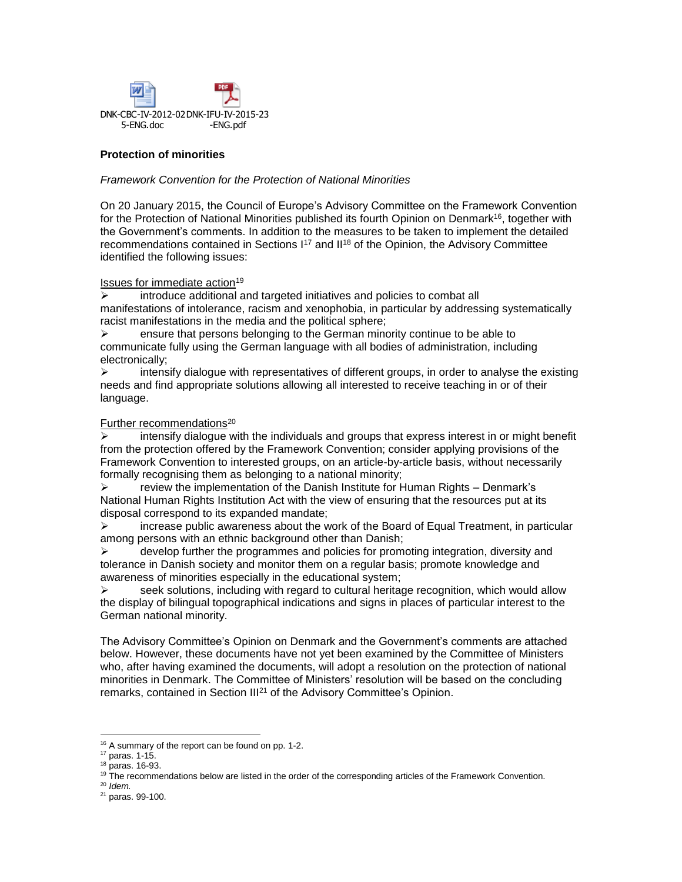

# **Protection of minorities**

## *Framework Convention for the Protection of National Minorities*

On 20 January 2015, the Council of Europe's Advisory Committee on the Framework Convention for the Protection of National Minorities published its fourth Opinion [on D](http://www.coe.int/t/dghl/monitoring/minorities/3_FCNMdocs/PDF_3rd_OP_CzechRepublic_en.pdf)enmark<sup>16</sup>, together with the Government's comments. In addition to the measures to be taken to implement the detailed recommendations contained in Sections  $1^{17}$  and  $II^{18}$  of the Opinion, the Advisory Committee identified the following issues:

Issues for immediate action<sup>19</sup>

 $\triangleright$  introduce additional and targeted initiatives and policies to combat all manifestations of intolerance, racism and xenophobia, in particular by addressing systematically racist manifestations in the media and the political sphere;

 $\triangleright$  ensure that persons belonging to the German minority continue to be able to communicate fully using the German language with all bodies of administration, including electronically;

 $\triangleright$  intensify dialogue with representatives of different groups, in order to analyse the existing needs and find appropriate solutions allowing all interested to receive teaching in or of their language.

### Further recommendations<sup>20</sup>

 $\triangleright$  intensify dialogue with the individuals and groups that express interest in or might benefit from the protection offered by the Framework Convention; consider applying provisions of the Framework Convention to interested groups, on an article-by-article basis, without necessarily formally recognising them as belonging to a national minority;

 $\triangleright$  review the implementation of the Danish Institute for Human Rights – Denmark's National Human Rights Institution Act with the view of ensuring that the resources put at its disposal correspond to its expanded mandate;

 $\triangleright$  increase public awareness about the work of the Board of Equal Treatment, in particular among persons with an ethnic background other than Danish;

 develop further the programmes and policies for promoting integration, diversity and tolerance in Danish society and monitor them on a regular basis; promote knowledge and awareness of minorities especially in the educational system;

 $\triangleright$  seek solutions, including with regard to cultural heritage recognition, which would allow the display of bilingual topographical indications and signs in places of particular interest to the German national minority.

The Advisory Committee's Opinion [on D](http://www.coe.int/t/dghl/monitoring/minorities/3_FCNMdocs/PDF_3rd_OP_CzechRepublic_en.pdf)enmark and the Government's comments are attached below. However, these documents have not yet been examined by the Committee of Ministers who, after having examined the documents, will adopt a resolution on the protection of national minorities in Denmark. The Committee of Ministers' resolution will be based on the concluding remarks, contained in Section III<sup>21</sup> of the Advisory Committee's Opinion.

<sup>&</sup>lt;sup>16</sup> A summary of the report can be found on pp. 1-2.

<sup>17</sup> paras. 1-15.

<sup>18</sup> paras. 16-93.

<sup>&</sup>lt;sup>19</sup> The recommendations below are listed in the order of the corresponding articles of the Framework Convention.

<sup>20</sup> *Idem.*

<sup>21</sup> paras. 99-100.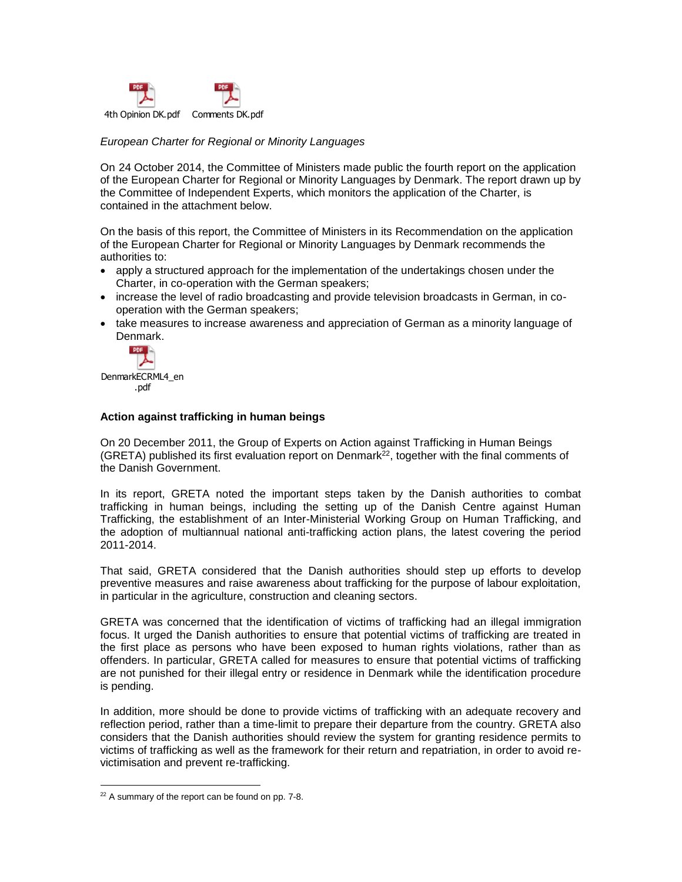

# *European Charter for Regional or Minority Languages*

On 24 October 2014, the Committee of Ministers made public the fourth report on the application of the European Charter for Regional or Minority Languages by Denmark. The report drawn up by the Committee of Independent Experts, which monitors the application of the Charter, is contained in the attachment below.

On the basis of this report, the Committee of Ministers in its Recommendation on the application of the European Charter for Regional or Minority Languages by Denmark recommends the authorities to:

- apply a structured approach for the implementation of the undertakings chosen under the Charter, in co-operation with the German speakers;
- increase the level of radio broadcasting and provide television broadcasts in German, in cooperation with the German speakers;
- take measures to increase awareness and appreciation of German as a minority language of Denmark.



### **Action against trafficking in human beings**

On 20 December 2011, the Group of Experts on Action against Trafficking in Human Beings (GRETA) published its first evaluation report on Denmark<sup>22</sup>, together with the final comments of the Danish Government.

In its report, GRETA noted the important steps taken by the Danish authorities to combat trafficking in human beings, including the setting up of the Danish Centre against Human Trafficking, the establishment of an Inter-Ministerial Working Group on Human Trafficking, and the adoption of multiannual national anti-trafficking action plans, the latest covering the period 2011-2014.

That said, GRETA considered that the Danish authorities should step up efforts to develop preventive measures and raise awareness about trafficking for the purpose of labour exploitation, in particular in the agriculture, construction and cleaning sectors.

GRETA was concerned that the identification of victims of trafficking had an illegal immigration focus. It urged the Danish authorities to ensure that potential victims of trafficking are treated in the first place as persons who have been exposed to human rights violations, rather than as offenders. In particular, GRETA called for measures to ensure that potential victims of trafficking are not punished for their illegal entry or residence in Denmark while the identification procedure is pending.

In addition, more should be done to provide victims of trafficking with an adequate recovery and reflection period, rather than a time-limit to prepare their departure from the country. GRETA also considers that the Danish authorities should review the system for granting residence permits to victims of trafficking as well as the framework for their return and repatriation, in order to avoid revictimisation and prevent re-trafficking.

<sup>&</sup>lt;sup>22</sup> A summary of the report can be found on pp. 7-8.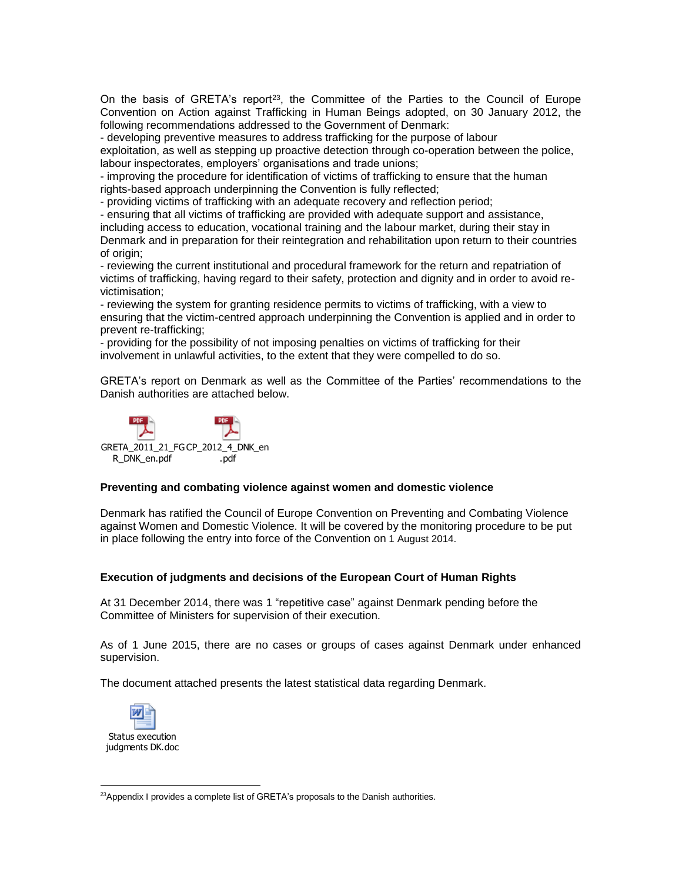On the basis of GRETA's report<sup>23</sup>, the Committee of the Parties to the Council of Europe Convention on Action against Trafficking in Human Beings adopted, on 30 January 2012, the following recommendations addressed to the Government of Denmark:

- developing preventive measures to address trafficking for the purpose of labour

exploitation, as well as stepping up proactive detection through co-operation between the police, labour inspectorates, employers' organisations and trade unions;

- improving the procedure for identification of victims of trafficking to ensure that the human rights-based approach underpinning the Convention is fully reflected;

- providing victims of trafficking with an adequate recovery and reflection period;

- ensuring that all victims of trafficking are provided with adequate support and assistance, including access to education, vocational training and the labour market, during their stay in Denmark and in preparation for their reintegration and rehabilitation upon return to their countries of origin;

- reviewing the current institutional and procedural framework for the return and repatriation of victims of trafficking, having regard to their safety, protection and dignity and in order to avoid revictimisation;

- reviewing the system for granting residence permits to victims of trafficking, with a view to ensuring that the victim-centred approach underpinning the Convention is applied and in order to prevent re-trafficking;

- providing for the possibility of not imposing penalties on victims of trafficking for their involvement in unlawful activities, to the extent that they were compelled to do so.

GRETA's report on Denmark as well as the Committee of the Parties' recommendations to the Danish authorities are attached below.



# **Preventing and combating violence against women and domestic violence**

Denmark has ratified the Council of Europe Convention on Preventing and Combating Violence against Women and Domestic Violence. It will be covered by the monitoring procedure to be put in place following the entry into force of the Convention on 1 August 2014.

# **Execution of judgments and decisions of the European Court of Human Rights**

At 31 December 2014, there was 1 "repetitive case" against Denmark pending before the Committee of Ministers for supervision of their execution.

As of 1 June 2015, there are no cases or groups of cases against Denmark under enhanced supervision.

The document attached presents the latest statistical data regarding Denmark.



Status execution judgments DK.doc

 $\overline{a}$ <sup>23</sup>Appendix I provides a complete list of GRETA's proposals to the Danish authorities.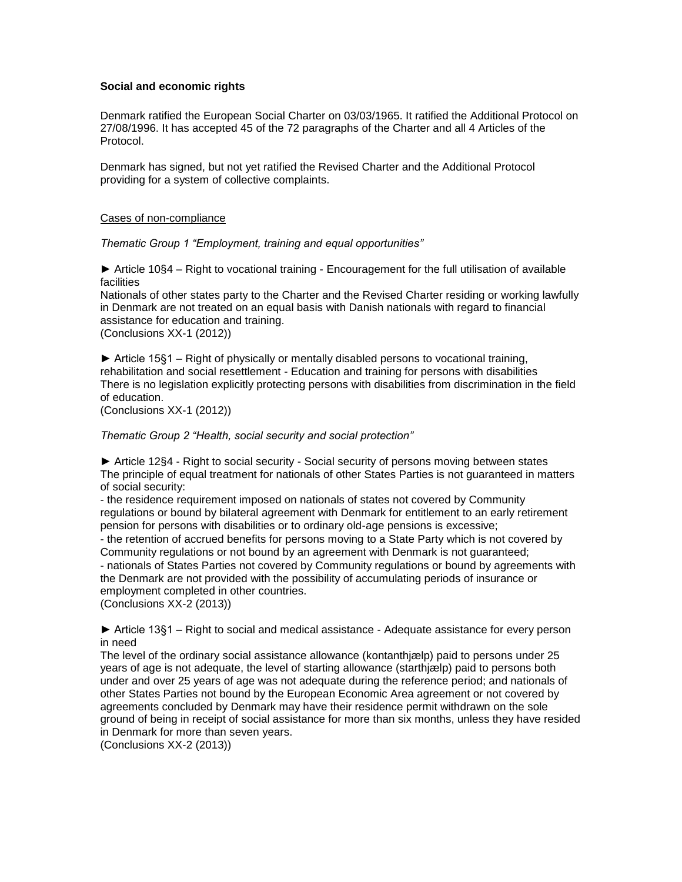# **Social and economic rights**

Denmark ratified the European Social Charter on 03/03/1965. It ratified the Additional Protocol on 27/08/1996. It has accepted 45 of the 72 paragraphs of the Charter and all 4 Articles of the Protocol.

Denmark has signed, but not yet ratified the Revised Charter and the Additional Protocol providing for a system of collective complaints.

## Cases of non-compliance

*Thematic Group 1 "Employment, training and equal opportunities"* 

*►* Article 10§4 – Right to vocational training - Encouragement for the full utilisation of available facilities

Nationals of other states party to the Charter and the Revised Charter residing or working lawfully in Denmark are not treated on an equal basis with Danish nationals with regard to financial assistance for education and training. (Conclusions XX-1 (2012))

► Article 15§1 – Right of physically or mentally disabled persons to vocational training, rehabilitation and social resettlement - Education and training for persons with disabilities There is no legislation explicitly protecting persons with disabilities from discrimination in the field of education.

(Conclusions XX-1 (2012))

*Thematic Group 2 "Health, social security and social protection"*

*►* Article 12§4 - Right to social security - Social security of persons moving between states The principle of equal treatment for nationals of other States Parties is not guaranteed in matters of social security:

- the residence requirement imposed on nationals of states not covered by Community regulations or bound by bilateral agreement with Denmark for entitlement to an early retirement pension for persons with disabilities or to ordinary old-age pensions is excessive;

- the retention of accrued benefits for persons moving to a State Party which is not covered by Community regulations or not bound by an agreement with Denmark is not guaranteed;

- nationals of States Parties not covered by Community regulations or bound by agreements with the Denmark are not provided with the possibility of accumulating periods of insurance or employment completed in other countries.

(Conclusions XX-2 (2013))

► Article 13§1 – Right to social and medical assistance - Adequate assistance for every person in need

The level of the ordinary social assistance allowance (kontanthjælp) paid to persons under 25 years of age is not adequate, the level of starting allowance (starthjælp) paid to persons both under and over 25 years of age was not adequate during the reference period; and nationals of other States Parties not bound by the European Economic Area agreement or not covered by agreements concluded by Denmark may have their residence permit withdrawn on the sole ground of being in receipt of social assistance for more than six months, unless they have resided in Denmark for more than seven years.

(Conclusions XX-2 (2013))